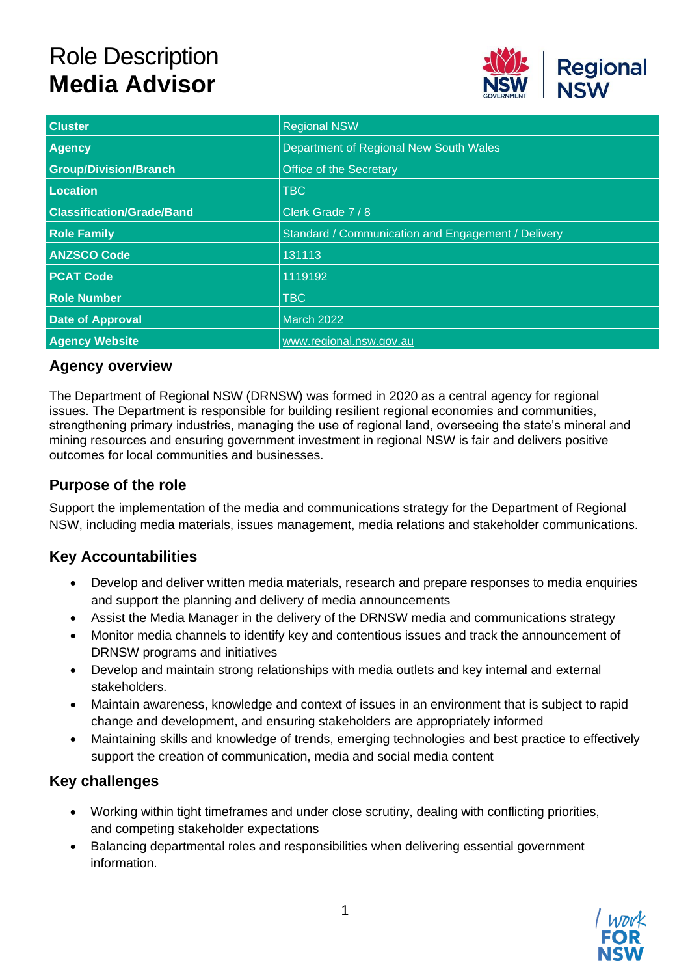# Role Description **Media Advisor**



| <b>Cluster</b>                   | <b>Regional NSW</b>                                |
|----------------------------------|----------------------------------------------------|
| <b>Agency</b>                    | Department of Regional New South Wales             |
| <b>Group/Division/Branch</b>     | <b>Office of the Secretary</b>                     |
| <b>Location</b>                  | <b>TBC</b>                                         |
| <b>Classification/Grade/Band</b> | Clerk Grade 7 / 8                                  |
| <b>Role Family</b>               | Standard / Communication and Engagement / Delivery |
| <b>ANZSCO Code</b>               | 131113                                             |
| <b>PCAT Code</b>                 | 1119192                                            |
| <b>Role Number</b>               | <b>TBC</b>                                         |
| <b>Date of Approval</b>          | <b>March 2022</b>                                  |
| <b>Agency Website</b>            | www.regional.nsw.gov.au                            |

#### **Agency overview**

The Department of Regional NSW (DRNSW) was formed in 2020 as a central agency for regional issues. The Department is responsible for building resilient regional economies and communities, strengthening primary industries, managing the use of regional land, overseeing the state's mineral and mining resources and ensuring government investment in regional NSW is fair and delivers positive outcomes for local communities and businesses.

#### **Purpose of the role**

Support the implementation of the media and communications strategy for the Department of Regional NSW, including media materials, issues management, media relations and stakeholder communications.

### **Key Accountabilities**

- Develop and deliver written media materials, research and prepare responses to media enquiries and support the planning and delivery of media announcements
- Assist the Media Manager in the delivery of the DRNSW media and communications strategy
- Monitor media channels to identify key and contentious issues and track the announcement of DRNSW programs and initiatives
- Develop and maintain strong relationships with media outlets and key internal and external stakeholders.
- Maintain awareness, knowledge and context of issues in an environment that is subject to rapid change and development, and ensuring stakeholders are appropriately informed
- Maintaining skills and knowledge of trends, emerging technologies and best practice to effectively support the creation of communication, media and social media content

#### **Key challenges**

- Working within tight timeframes and under close scrutiny, dealing with conflicting priorities, and competing stakeholder expectations
- Balancing departmental roles and responsibilities when delivering essential government information.

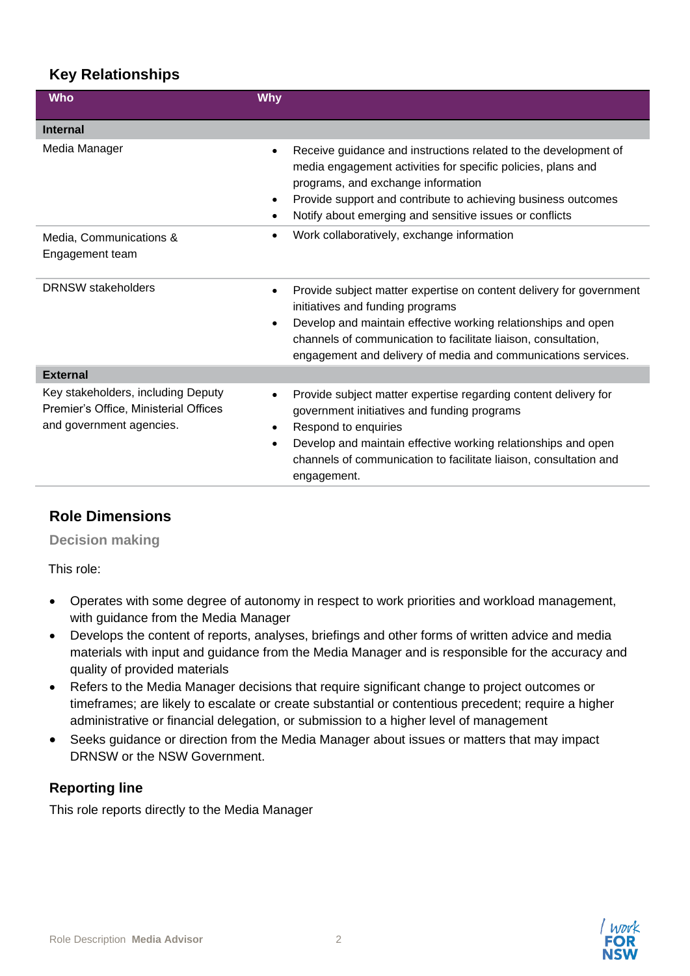# **Key Relationships**

| <b>Who</b>                                                                                              | <b>Why</b>                                                                                                                                                                                                                                                                                                                  |
|---------------------------------------------------------------------------------------------------------|-----------------------------------------------------------------------------------------------------------------------------------------------------------------------------------------------------------------------------------------------------------------------------------------------------------------------------|
| <b>Internal</b>                                                                                         |                                                                                                                                                                                                                                                                                                                             |
| Media Manager                                                                                           | Receive guidance and instructions related to the development of<br>$\bullet$<br>media engagement activities for specific policies, plans and<br>programs, and exchange information<br>Provide support and contribute to achieving business outcomes<br>$\bullet$<br>Notify about emerging and sensitive issues or conflicts |
| Media, Communications &<br>Engagement team                                                              | Work collaboratively, exchange information                                                                                                                                                                                                                                                                                  |
| <b>DRNSW</b> stakeholders                                                                               | Provide subject matter expertise on content delivery for government<br>$\bullet$<br>initiatives and funding programs<br>Develop and maintain effective working relationships and open<br>channels of communication to facilitate liaison, consultation,<br>engagement and delivery of media and communications services.    |
| <b>External</b>                                                                                         |                                                                                                                                                                                                                                                                                                                             |
| Key stakeholders, including Deputy<br>Premier's Office, Ministerial Offices<br>and government agencies. | Provide subject matter expertise regarding content delivery for<br>government initiatives and funding programs<br>Respond to enquiries<br>Develop and maintain effective working relationships and open<br>channels of communication to facilitate liaison, consultation and<br>engagement.                                 |

### **Role Dimensions**

**Decision making**

This role:

- Operates with some degree of autonomy in respect to work priorities and workload management, with guidance from the Media Manager
- Develops the content of reports, analyses, briefings and other forms of written advice and media materials with input and guidance from the Media Manager and is responsible for the accuracy and quality of provided materials
- Refers to the Media Manager decisions that require significant change to project outcomes or timeframes; are likely to escalate or create substantial or contentious precedent; require a higher administrative or financial delegation, or submission to a higher level of management
- Seeks guidance or direction from the Media Manager about issues or matters that may impact DRNSW or the NSW Government.

### **Reporting line**

This role reports directly to the Media Manager

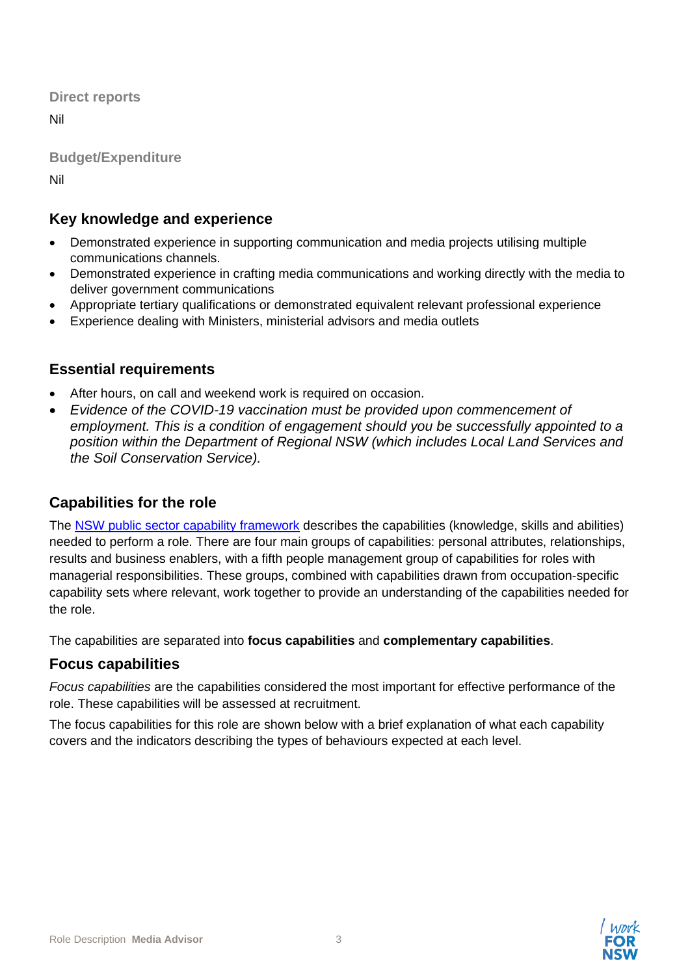**Direct reports**

Nil

**Budget/Expenditure**

Nil

# **Key knowledge and experience**

- Demonstrated experience in supporting communication and media projects utilising multiple communications channels.
- Demonstrated experience in crafting media communications and working directly with the media to deliver government communications
- Appropriate tertiary qualifications or demonstrated equivalent relevant professional experience
- Experience dealing with Ministers, ministerial advisors and media outlets

### **Essential requirements**

- After hours, on call and weekend work is required on occasion.
- *Evidence of the COVID-19 vaccination must be provided upon commencement of employment. This is a condition of engagement should you be successfully appointed to a position within the Department of Regional NSW (which includes Local Land Services and the Soil Conservation Service).*

### **Capabilities for the role**

The [NSW public sector capability framework](https://www.psc.nsw.gov.au/workforce-management/capability-framework/the-capability-framework) describes the capabilities (knowledge, skills and abilities) needed to perform a role. There are four main groups of capabilities: personal attributes, relationships, results and business enablers, with a fifth people management group of capabilities for roles with managerial responsibilities. These groups, combined with capabilities drawn from occupation-specific capability sets where relevant, work together to provide an understanding of the capabilities needed for the role.

The capabilities are separated into **focus capabilities** and **complementary capabilities**.

### **Focus capabilities**

*Focus capabilities* are the capabilities considered the most important for effective performance of the role. These capabilities will be assessed at recruitment.

The focus capabilities for this role are shown below with a brief explanation of what each capability covers and the indicators describing the types of behaviours expected at each level.

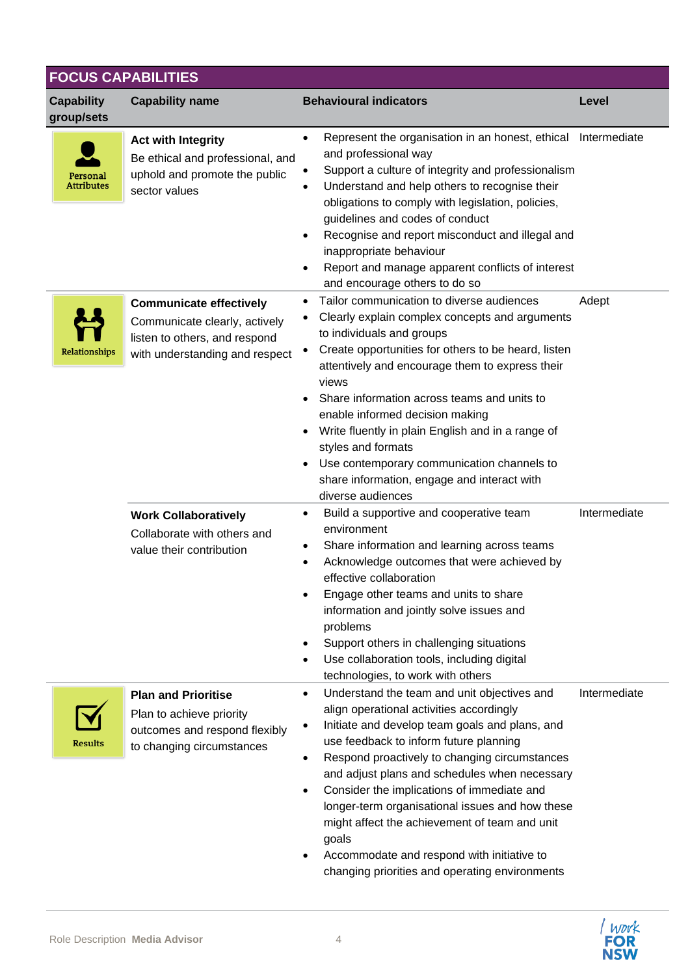|                                 | <b>FOCUS CAPABILITIES</b>                                                                                                          |                                                                                                                                                                                                                                                                                                                                                                                                                                                                                                                                                                                         |              |  |  |
|---------------------------------|------------------------------------------------------------------------------------------------------------------------------------|-----------------------------------------------------------------------------------------------------------------------------------------------------------------------------------------------------------------------------------------------------------------------------------------------------------------------------------------------------------------------------------------------------------------------------------------------------------------------------------------------------------------------------------------------------------------------------------------|--------------|--|--|
| <b>Capability</b><br>group/sets | <b>Capability name</b>                                                                                                             | <b>Behavioural indicators</b>                                                                                                                                                                                                                                                                                                                                                                                                                                                                                                                                                           | Level        |  |  |
| Personal<br><b>Attributes</b>   | <b>Act with Integrity</b><br>Be ethical and professional, and<br>uphold and promote the public<br>sector values                    | Represent the organisation in an honest, ethical Intermediate<br>$\bullet$<br>and professional way<br>Support a culture of integrity and professionalism<br>Understand and help others to recognise their<br>obligations to comply with legislation, policies,<br>guidelines and codes of conduct<br>Recognise and report misconduct and illegal and<br>$\bullet$<br>inappropriate behaviour<br>Report and manage apparent conflicts of interest<br>and encourage others to do so                                                                                                       |              |  |  |
| Relationships                   | <b>Communicate effectively</b><br>Communicate clearly, actively<br>listen to others, and respond<br>with understanding and respect | Tailor communication to diverse audiences<br>Clearly explain complex concepts and arguments<br>to individuals and groups<br>Create opportunities for others to be heard, listen<br>attentively and encourage them to express their<br>views<br>Share information across teams and units to<br>enable informed decision making<br>Write fluently in plain English and in a range of<br>styles and formats<br>Use contemporary communication channels to<br>share information, engage and interact with<br>diverse audiences                                                              | Adept        |  |  |
|                                 | <b>Work Collaboratively</b><br>Collaborate with others and<br>value their contribution                                             | Build a supportive and cooperative team<br>٠<br>environment<br>Share information and learning across teams<br>٠<br>Acknowledge outcomes that were achieved by<br>effective collaboration<br>Engage other teams and units to share<br>information and jointly solve issues and<br>problems<br>Support others in challenging situations<br>Use collaboration tools, including digital<br>٠<br>technologies, to work with others                                                                                                                                                           | Intermediate |  |  |
| <b>Results</b>                  | <b>Plan and Prioritise</b><br>Plan to achieve priority<br>outcomes and respond flexibly<br>to changing circumstances               | Understand the team and unit objectives and<br>$\bullet$<br>align operational activities accordingly<br>Initiate and develop team goals and plans, and<br>$\bullet$<br>use feedback to inform future planning<br>Respond proactively to changing circumstances<br>$\bullet$<br>and adjust plans and schedules when necessary<br>Consider the implications of immediate and<br>longer-term organisational issues and how these<br>might affect the achievement of team and unit<br>goals<br>Accommodate and respond with initiative to<br>changing priorities and operating environments | Intermediate |  |  |

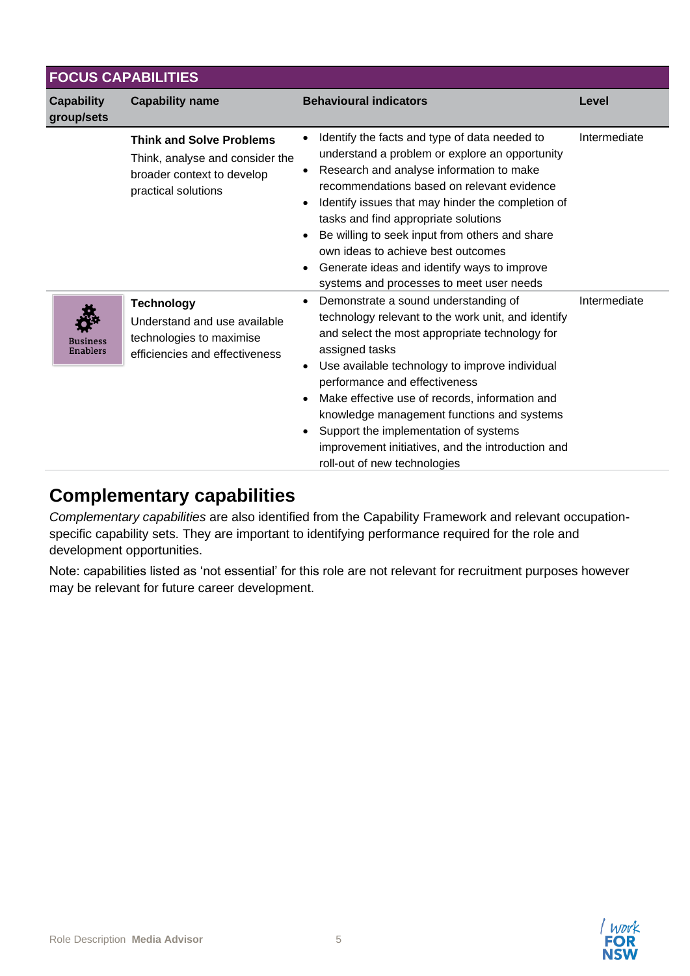| <b>FOCUS CAPABILITIES</b>          |                                                                                                                         |                                                                                                                                                                                                                                                                                                                                                                                                                                                                                              |              |  |
|------------------------------------|-------------------------------------------------------------------------------------------------------------------------|----------------------------------------------------------------------------------------------------------------------------------------------------------------------------------------------------------------------------------------------------------------------------------------------------------------------------------------------------------------------------------------------------------------------------------------------------------------------------------------------|--------------|--|
| <b>Capability</b><br>group/sets    | <b>Capability name</b>                                                                                                  | <b>Behavioural indicators</b>                                                                                                                                                                                                                                                                                                                                                                                                                                                                | Level        |  |
|                                    | <b>Think and Solve Problems</b><br>Think, analyse and consider the<br>broader context to develop<br>practical solutions | Identify the facts and type of data needed to<br>understand a problem or explore an opportunity<br>Research and analyse information to make<br>recommendations based on relevant evidence<br>Identify issues that may hinder the completion of<br>tasks and find appropriate solutions<br>Be willing to seek input from others and share<br>own ideas to achieve best outcomes<br>Generate ideas and identify ways to improve<br>systems and processes to meet user needs                    | Intermediate |  |
| <b>Business</b><br><b>Enablers</b> | <b>Technology</b><br>Understand and use available<br>technologies to maximise<br>efficiencies and effectiveness         | Demonstrate a sound understanding of<br>technology relevant to the work unit, and identify<br>and select the most appropriate technology for<br>assigned tasks<br>Use available technology to improve individual<br>$\bullet$<br>performance and effectiveness<br>Make effective use of records, information and<br>knowledge management functions and systems<br>Support the implementation of systems<br>improvement initiatives, and the introduction and<br>roll-out of new technologies | Intermediate |  |

# **Complementary capabilities**

*Complementary capabilities* are also identified from the Capability Framework and relevant occupationspecific capability sets. They are important to identifying performance required for the role and development opportunities.

Note: capabilities listed as 'not essential' for this role are not relevant for recruitment purposes however may be relevant for future career development.